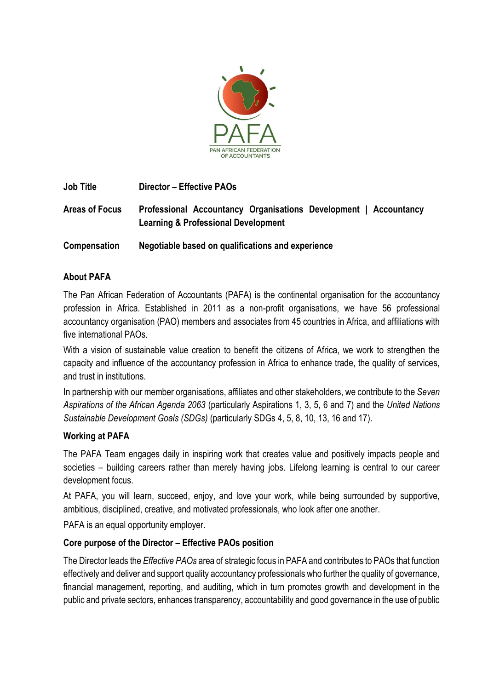

**Job Title Director – Effective PAOs Areas of Focus Professional Accountancy Organisations Development | Accountancy Learning & Professional Development Compensation Negotiable based on qualifications and experience**

## **About PAFA**

The Pan African Federation of Accountants (PAFA) is the continental organisation for the accountancy profession in Africa. Established in 2011 as a non-profit organisations, we have 56 professional accountancy organisation (PAO) members and associates from 45 countries in Africa, and affiliations with five international PAOs.

With a vision of sustainable value creation to benefit the citizens of Africa, we work to strengthen the capacity and influence of the accountancy profession in Africa to enhance trade, the quality of services, and trust in institutions.

In partnership with our member organisations, affiliates and other stakeholders, we contribute to the *Seven Aspirations of the African Agenda 2063* (particularly Aspirations 1, 3, 5, 6 and 7) and the *United Nations Sustainable Development Goals (SDGs)* (particularly SDGs 4, 5, 8, 10, 13, 16 and 17).

### **Working at PAFA**

The PAFA Team engages daily in inspiring work that creates value and positively impacts people and societies – building careers rather than merely having jobs. Lifelong learning is central to our career development focus.

At PAFA, you will learn, succeed, enjoy, and love your work, while being surrounded by supportive, ambitious, disciplined, creative, and motivated professionals, who look after one another.

PAFA is an equal opportunity employer.

# **Core purpose of the Director – Effective PAOs position**

The Director leads the *Effective PAOs* area of strategic focus in PAFA and contributes to PAOs that function effectively and deliver and support quality accountancy professionals who further the quality of governance, financial management, reporting, and auditing, which in turn promotes growth and development in the public and private sectors, enhances transparency, accountability and good governance in the use of public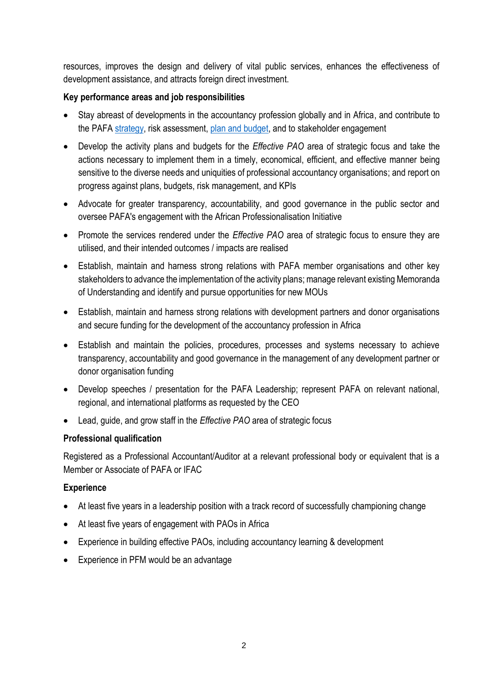resources, improves the design and delivery of vital public services, enhances the effectiveness of development assistance, and attracts foreign direct investment.

### **Key performance areas and job responsibilities**

- Stay abreast of developments in the accountancy profession globally and in Africa, and contribute to the PAFA [strategy,](https://pafaafrica.sharepoint.com/:b:/g/EbSWgcwmTOpAv_ftcwxyLrMBLp34rQzG06d8UsJeRgcB9g?e=y83kkF) risk assessment, plan [and budget,](https://pafaafrica.sharepoint.com/:b:/g/EfE1tVurD4xHnZArIHxa9WYByKb31CshOKa2Q7_W7wspWQ?e=2DwqMz) and to stakeholder engagement
- Develop the activity plans and budgets for the *Effective PAO* area of strategic focus and take the actions necessary to implement them in a timely, economical, efficient, and effective manner being sensitive to the diverse needs and uniquities of professional accountancy organisations; and report on progress against plans, budgets, risk management, and KPIs
- Advocate for greater transparency, accountability, and good governance in the public sector and oversee PAFA's engagement with the African Professionalisation Initiative
- Promote the services rendered under the *Effective PAO* area of strategic focus to ensure they are utilised, and their intended outcomes / impacts are realised
- Establish, maintain and harness strong relations with PAFA member organisations and other key stakeholders to advance the implementation of the activity plans; manage relevant existing Memoranda of Understanding and identify and pursue opportunities for new MOUs
- Establish, maintain and harness strong relations with development partners and donor organisations and secure funding for the development of the accountancy profession in Africa
- Establish and maintain the policies, procedures, processes and systems necessary to achieve transparency, accountability and good governance in the management of any development partner or donor organisation funding
- Develop speeches / presentation for the PAFA Leadership; represent PAFA on relevant national, regional, and international platforms as requested by the CEO
- Lead, guide, and grow staff in the *Effective PAO* area of strategic focus

### **Professional qualification**

Registered as a Professional Accountant/Auditor at a relevant professional body or equivalent that is a Member or Associate of PAFA or IFAC

### **Experience**

- At least five years in a leadership position with a track record of successfully championing change
- At least five years of engagement with PAOs in Africa
- Experience in building effective PAOs, including accountancy learning & development
- Experience in PFM would be an advantage